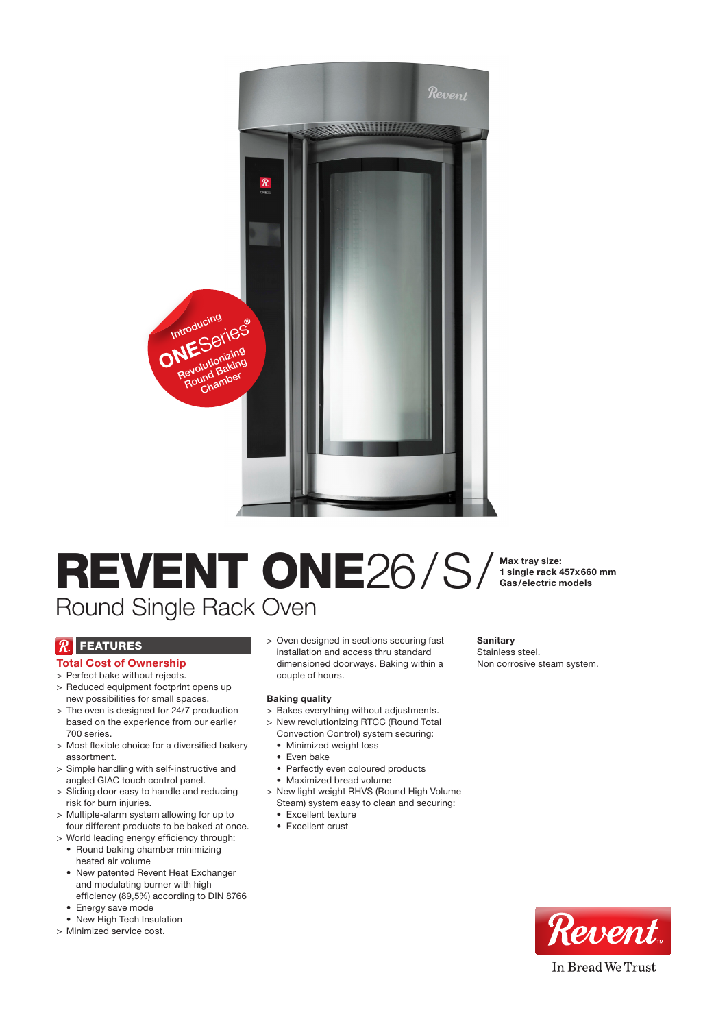

# REVENT ONE26/S/
Max tray size: Round Single Rack Oven

1 single rack 457x660 mm Gas/electric models

## $\mathcal{R}$  Features

## Total Cost of Ownership

- > Perfect bake without rejects. > Reduced equipment footprint opens up
- new possibilities for small spaces. > The oven is designed for 24/7 production based on the experience from our earlier 700 series.
- > Most flexible choice for a diversified bakery assortment.
- > Simple handling with self-instructive and angled GIAC touch control panel.
- > Sliding door easy to handle and reducing risk for burn injuries.
- > Multiple-alarm system allowing for up to four different products to be baked at once.
- > World leading energy efficiency through: • Round baking chamber minimizing heated air volume
	- New patented Revent Heat Exchanger and modulating burner with high efficiency (89,5%) according to DIN 8766
	- Energy save mode
	- New High Tech Insulation
- > Minimized service cost.

> Oven designed in sections securing fast installation and access thru standard dimensioned doorways. Baking within a couple of hours.

#### Baking quality

- > Bakes everything without adjustments.
- > New revolutionizing RTCC (Round Total Convection Control) system securing:
	- • Minimized weight loss
	- Even bake
	- Perfectly even coloured products
	- • Maximized bread volume
- > New light weight RHVS (Round High Volume Steam) system easy to clean and securing:
	- Excellent texture
	- Excellent crust

**Sanitary** Stainless steel. Non corrosive steam system.